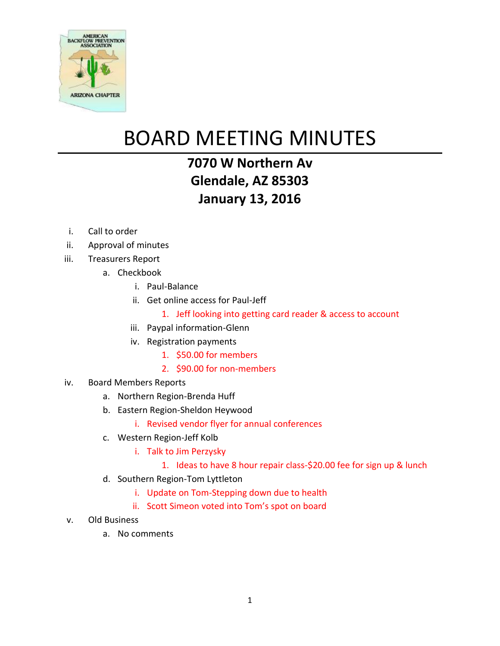

## BOARD MEETING MINUTES

## **7070 W Northern Av Glendale, AZ 85303 January 13, 2016**

- i. Call to order
- ii. Approval of minutes
- iii. Treasurers Report
	- a. Checkbook
		- i. Paul-Balance
		- ii. Get online access for Paul-Jeff
			- 1. Jeff looking into getting card reader & access to account
		- iii. Paypal information-Glenn
		- iv. Registration payments
			- 1. \$50.00 for members
			- 2. \$90.00 for non-members
- iv. Board Members Reports
	- a. Northern Region-Brenda Huff
	- b. Eastern Region-Sheldon Heywood
		- i. Revised vendor flyer for annual conferences
	- c. Western Region-Jeff Kolb
		- i. Talk to Jim Perzysky
			- 1. Ideas to have 8 hour repair class-\$20.00 fee for sign up & lunch
	- d. Southern Region-Tom Lyttleton
		- i. Update on Tom-Stepping down due to health
		- ii. Scott Simeon voted into Tom's spot on board
- v. Old Business
	- a. No comments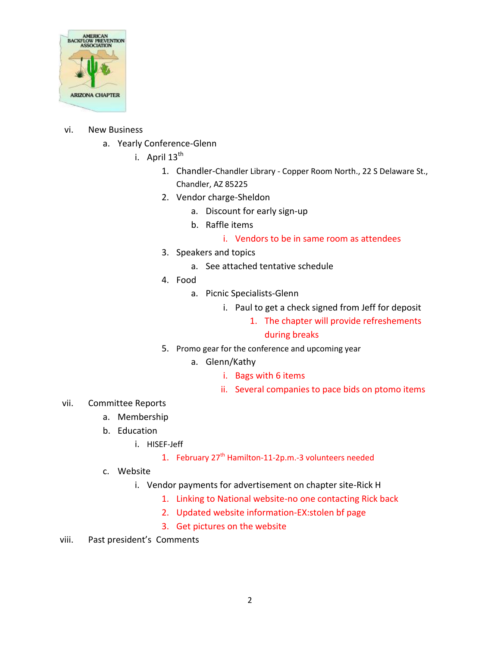

## vi. New Business

- a. Yearly Conference-Glenn
	- i. April  $13^{th}$ 
		- 1. Chandler-Chandler Library Copper Room North., 22 S Delaware St., Chandler, AZ 85225
		- 2. Vendor charge-Sheldon
			- a. Discount for early sign-up
			- b. Raffle items
				- i. Vendors to be in same room as attendees
		- 3. Speakers and topics
			- a. See attached tentative schedule
		- 4. Food
			- a. Picnic Specialists-Glenn
				- i. Paul to get a check signed from Jeff for deposit
					- 1. The chapter will provide refreshements

## during breaks

- 5. Promo gear for the conference and upcoming year
	- a. Glenn/Kathy
		- i. Bags with 6 items
		- ii. Several companies to pace bids on ptomo items
- vii. Committee Reports
	- a. Membership
	- b. Education
		- i. HISEF-Jeff
			- 1. February 27<sup>th</sup> Hamilton-11-2p.m.-3 volunteers needed
	- c. Website
		- i. Vendor payments for advertisement on chapter site-Rick H
			- 1. Linking to National website-no one contacting Rick back
			- 2. Updated website information-EX:stolen bf page
			- 3. Get pictures on the website
- viii. Past president's Comments